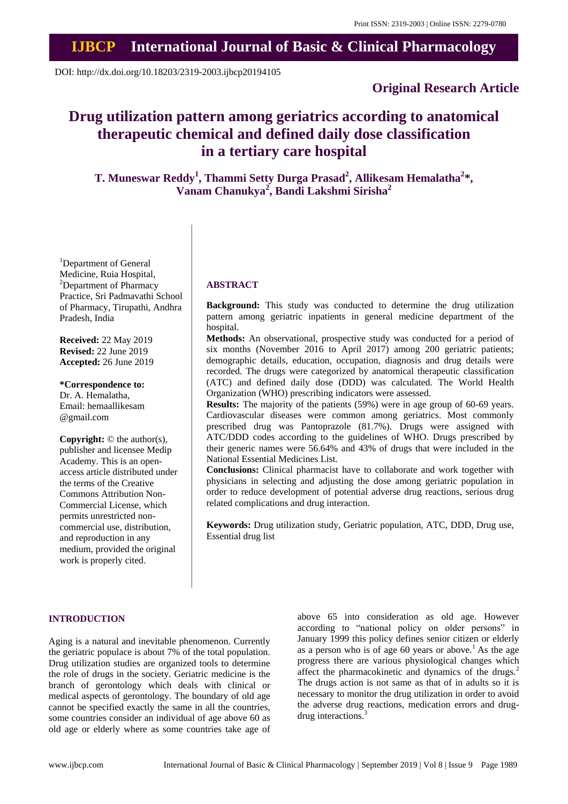## **IJBCP International Journal of Basic & Clinical Pharmacology**

DOI: http://dx.doi.org/10.18203/2319-2003.ijbcp20194105

## **Original Research Article**

# **Drug utilization pattern among geriatrics according to anatomical therapeutic chemical and defined daily dose classification in a tertiary care hospital**

**T. Muneswar Reddy<sup>1</sup> , Thammi Setty Durga Prasad<sup>2</sup> , Allikesam Hemalatha<sup>2</sup> \*, Vanam Chanukya<sup>2</sup> , Bandi Lakshmi Sirisha<sup>2</sup>**

<sup>1</sup>Department of General Medicine, Ruia Hospital, <sup>2</sup>Department of Pharmacy Practice, Sri Padmavathi School of Pharmacy, Tirupathi, Andhra Pradesh, India

**Received:** 22 May 2019 **Revised:** 22 June 2019 **Accepted:** 26 June 2019

**\*Correspondence to:** Dr. A. Hemalatha, Email: hemaallikesam @gmail.com

**Copyright:** © the author(s), publisher and licensee Medip Academy. This is an openaccess article distributed under the terms of the Creative Commons Attribution Non-Commercial License, which permits unrestricted noncommercial use, distribution, and reproduction in any medium, provided the original work is properly cited.

#### **ABSTRACT**

**Background:** This study was conducted to determine the drug utilization pattern among geriatric inpatients in general medicine department of the hospital.

**Methods:** An observational, prospective study was conducted for a period of six months (November 2016 to April 2017) among 200 geriatric patients; demographic details, education, occupation, diagnosis and drug details were recorded. The drugs were categorized by anatomical therapeutic classification (ATC) and defined daily dose (DDD) was calculated. The World Health Organization (WHO) prescribing indicators were assessed.

**Results:** The majority of the patients (59%) were in age group of 60-69 years. Cardiovascular diseases were common among geriatrics. Most commonly prescribed drug was Pantoprazole (81.7%). Drugs were assigned with ATC/DDD codes according to the guidelines of WHO. Drugs prescribed by their generic names were 56.64% and 43% of drugs that were included in the National Essential Medicines List.

**Conclusions:** Clinical pharmacist have to collaborate and work together with physicians in selecting and adjusting the dose among geriatric population in order to reduce development of potential adverse drug reactions, serious drug related complications and drug interaction.

**Keywords:** Drug utilization study, Geriatric population, ATC, DDD, Drug use, Essential drug list

#### **INTRODUCTION**

Aging is a natural and inevitable phenomenon. Currently the geriatric populace is about 7% of the total population. Drug utilization studies are organized tools to determine the role of drugs in the society. Geriatric medicine is the branch of gerontology which deals with clinical or medical aspects of gerontology. The boundary of old age cannot be specified exactly the same in all the countries, some countries consider an individual of age above 60 as old age or elderly where as some countries take age of above 65 into consideration as old age. However according to "national policy on older persons" in January 1999 this policy defines senior citizen or elderly as a person who is of age 60 years or above.<sup>1</sup> As the age progress there are various physiological changes which affect the pharmacokinetic and dynamics of the drugs.<sup>2</sup> The drugs action is not same as that of in adults so it is necessary to monitor the drug utilization in order to avoid the adverse drug reactions, medication errors and drugdrug interactions.<sup>3</sup>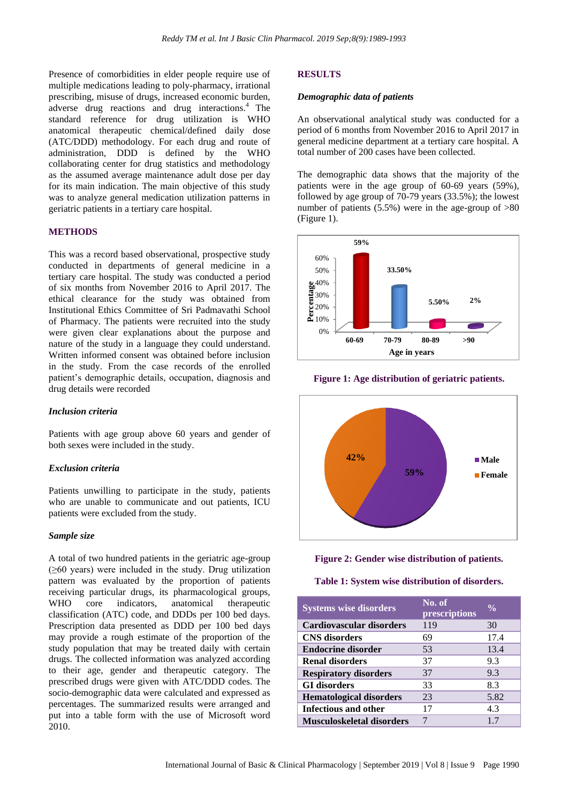Presence of comorbidities in elder people require use of multiple medications leading to poly-pharmacy, irrational prescribing, misuse of drugs, increased economic burden, adverse drug reactions and drug interactions.<sup>4</sup> The standard reference for drug utilization is WHO anatomical therapeutic chemical/defined daily dose (ATC/DDD) methodology. For each drug and route of administration, DDD is defined by the WHO collaborating center for drug statistics and methodology as the assumed average maintenance adult dose per day for its main indication. The main objective of this study was to analyze general medication utilization patterns in geriatric patients in a tertiary care hospital.

#### **METHODS**

This was a record based observational, prospective study conducted in departments of general medicine in a tertiary care hospital. The study was conducted a period of six months from November 2016 to April 2017. The ethical clearance for the study was obtained from Institutional Ethics Committee of Sri Padmavathi School of Pharmacy. The patients were recruited into the study were given clear explanations about the purpose and nature of the study in a language they could understand. Written informed consent was obtained before inclusion in the study. From the case records of the enrolled patient's demographic details, occupation, diagnosis and drug details were recorded

#### *Inclusion criteria*

Patients with age group above 60 years and gender of both sexes were included in the study.

#### *Exclusion criteria*

Patients unwilling to participate in the study, patients who are unable to communicate and out patients, ICU patients were excluded from the study.

#### *Sample size*

A total of two hundred patients in the geriatric age-group (≥60 years) were included in the study. Drug utilization pattern was evaluated by the proportion of patients receiving particular drugs, its pharmacological groups, WHO core indicators, anatomical therapeutic classification (ATC) code, and DDDs per 100 bed days. Prescription data presented as DDD per 100 bed days may provide a rough estimate of the proportion of the study population that may be treated daily with certain drugs. The collected information was analyzed according to their age, gender and therapeutic category. The prescribed drugs were given with ATC/DDD codes. The socio-demographic data were calculated and expressed as percentages. The summarized results were arranged and put into a table form with the use of Microsoft word 2010.

#### **RESULTS**

#### *Demographic data of patients*

An observational analytical study was conducted for a period of 6 months from November 2016 to April 2017 in general medicine department at a tertiary care hospital. A total number of 200 cases have been collected.

The demographic data shows that the majority of the patients were in the age group of 60-69 years (59%), followed by age group of 70-79 years (33.5%); the lowest number of patients  $(5.5\%)$  were in the age-group of  $>80$ (Figure 1).









#### **Table 1: System wise distribution of disorders.**

| <b>Systems wise disorders</b>    | No. of<br>prescriptions | $\frac{0}{\alpha}$ |
|----------------------------------|-------------------------|--------------------|
| Cardiovascular disorders         | 119                     | 30                 |
| <b>CNS</b> disorders             | 69                      | 17.4               |
| <b>Endocrine disorder</b>        | 53                      | 13.4               |
| <b>Renal disorders</b>           | 37                      | 9.3                |
| <b>Respiratory disorders</b>     | 37                      | 9.3                |
| <b>GI</b> disorders              | 33                      | 8.3                |
| <b>Hematological disorders</b>   | 23                      | 5.82               |
| Infectious and other             | 17                      | 4.3                |
| <b>Musculoskeletal disorders</b> |                         | 17                 |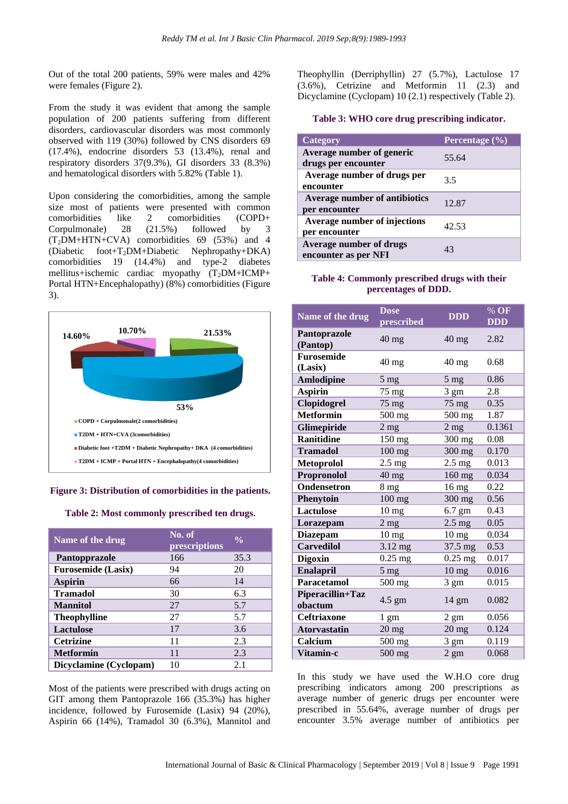Out of the total 200 patients, 59% were males and 42% were females (Figure 2).

From the study it was evident that among the sample population of 200 patients suffering from different disorders, cardiovascular disorders was most commonly observed with 119 (30%) followed by CNS disorders 69 (17.4%), endocrine disorders 53 (13.4%), renal and respiratory disorders 37(9.3%), GI disorders 33 (8.3%) and hematological disorders with 5.82% (Table 1).

Upon considering the comorbidities, among the sample size most of patients were presented with common comorbidities like 2 comorbidities (COPD+ Corpulmonale) 28 (21.5%) followed by 3  $(T_2\text{DM}+\text{HTN}+\text{CVA})$  comorbidities 69 (53%) and 4 (Diabetic foot+T2DM+Diabetic Nephropathy+DKA) comorbidities 19 (14.4%) and type-2 diabetes mellitus+ischemic cardiac myopathy  $(T_2DM+ICMP+$ Portal HTN+Encephalopathy) (8%) comorbidities (Figure 3).



#### **Figure 3: Distribution of comorbidities in the patients.**

**Table 2: Most commonly prescribed ten drugs.**

| Name of the drug          | No. of<br>prescriptions | $\frac{0}{0}$ |
|---------------------------|-------------------------|---------------|
| Pantopprazole             | 166                     | 35.3          |
| <b>Furosemide (Lasix)</b> | 94                      | 20            |
| <b>Aspirin</b>            | 66                      | 14            |
| <b>Tramadol</b>           | 30                      | 6.3           |
| <b>Mannitol</b>           | 27                      | 5.7           |
| <b>Theophylline</b>       | 27                      | 5.7           |
| <b>Lactulose</b>          | 17                      | 3.6           |
| <b>Cetrizine</b>          | 11                      | 2.3           |
| <b>Metformin</b>          | 11                      | 2.3           |
| Dicyclamine (Cyclopam)    | 10                      | 2.1           |

Most of the patients were prescribed with drugs acting on GIT among them Pantoprazole 166 (35.3%) has higher incidence, followed by Furosemide (Lasix) 94 (20%), Aspirin 66 (14%), Tramadol 30 (6.3%), Mannitol and Theophyllin (Derriphyllin) 27 (5.7%), Lactulose 17 (3.6%), Cetrizine and Metformin 11 (2.3) and Dicyclamine (Cyclopam) 10 (2.1) respectively (Table 2).

## **Table 3: WHO core drug prescribing indicator.**

| Category                                               | Percentage $\overline{(\%)}$ |
|--------------------------------------------------------|------------------------------|
| Average number of generic<br>drugs per encounter       | 55.64                        |
| Average number of drugs per<br>encounter               | 3.5                          |
| Average number of antibiotics<br>per encounter         | 12.87                        |
| <b>Average number of injections</b><br>per encounter   | 42.53                        |
| <b>Average number of drugs</b><br>encounter as per NFI | 43                           |

## **Table 4: Commonly prescribed drugs with their percentages of DDD.**

| Name of the drug             | <b>Dose</b><br>prescribed | <b>DDD</b>       | % OF<br><b>DDD</b> |
|------------------------------|---------------------------|------------------|--------------------|
| Pantoprazole<br>(Pantop)     | $40 \text{ mg}$           | $40 \text{ mg}$  | 2.82               |
| <b>Furosemide</b><br>(Lasix) | $40 \text{ mg}$           | $40$ mg          | 0.68               |
| <b>Amlodipine</b>            | 5 <sub>mg</sub>           | $5 \text{ mg}$   | 0.86               |
| <b>Aspirin</b>               | 75 mg                     | $3 \text{ gm}$   | 2.8                |
| Clopidogrel                  | $75$ mg                   | $75 \text{ mg}$  | 0.35               |
| <b>Metformin</b>             | 500 mg                    | 500 mg           | 1.87               |
| Glimepiride                  | 2 <sub>mg</sub>           | $2$ mg           | 0.1361             |
| <b>Ranitidine</b>            | 150 mg                    | 300 mg           | 0.08               |
| <b>Tramadol</b>              | $100$ mg                  | $300$ mg         | 0.170              |
| <b>Metoprolol</b>            | $2.5$ mg                  | $2.5 \text{ mg}$ | 0.013              |
| Propronolol                  | $40$ mg                   | 160 mg           | 0.034              |
| Ondensetron                  | 8 <sub>mg</sub>           | $16 \text{ mg}$  | 0.22               |
| Phenytoin                    | $100$ mg                  | 300 mg           | 0.56               |
| <b>Lactulose</b>             | 10 <sub>mg</sub>          | $6.7$ gm         | 0.43               |
| Lorazepam                    | $2$ mg                    | $2.5 \text{ mg}$ | 0.05               |
| <b>Diazepam</b>              | $10 \text{ mg}$           | $10 \text{ mg}$  | 0.034              |
| <b>Carvedilol</b>            | 3.12 mg                   | 37.5 mg          | 0.53               |
| <b>Digoxin</b>               | $0.25$ mg                 | $0.25$ mg        | 0.017              |
| <b>Enalapril</b>             | 5 <sub>mg</sub>           | $10 \text{ mg}$  | 0.016              |
| <b>Paracetamol</b>           | 500 mg                    | $3 \text{ gm}$   | 0.015              |
| Piperacillin+Taz<br>obactum  | $4.5 \text{ gm}$          | $14 \text{ gm}$  | 0.082              |
| <b>Ceftriaxone</b>           | $1 \text{ gm}$            | $2 \text{ gm}$   | 0.056              |
| <b>Atorvastatin</b>          | $20$ mg                   | $20 \text{ mg}$  | 0.124              |
| Calcium                      | 500 mg                    | 3 gm             | 0.119              |
| Vitamin-c                    | 500 mg                    | $2 \text{ gm}$   | 0.068              |

In this study we have used the W.H.O core drug prescribing indicators among 200 prescriptions as average number of generic drugs per encounter were prescribed in 55.64%, average number of drugs per encounter 3.5% average number of antibiotics per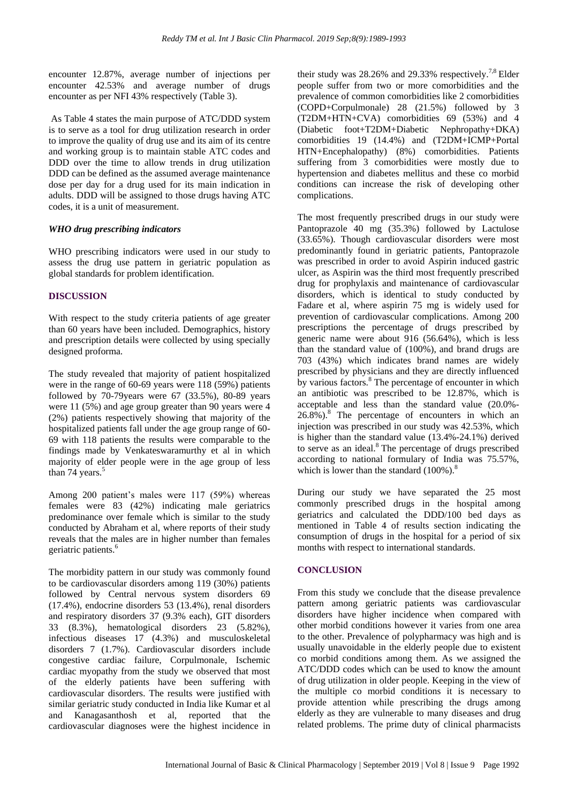encounter 12.87%, average number of injections per encounter 42.53% and average number of drugs encounter as per NFI 43% respectively (Table 3).

As Table 4 states the main purpose of ATC/DDD system is to serve as a tool for drug utilization research in order to improve the quality of drug use and its aim of its centre and working group is to maintain stable ATC codes and DDD over the time to allow trends in drug utilization DDD can be defined as the assumed average maintenance dose per day for a drug used for its main indication in adults. DDD will be assigned to those drugs having ATC codes, it is a unit of measurement.

#### *WHO drug prescribing indicators*

WHO prescribing indicators were used in our study to assess the drug use pattern in geriatric population as global standards for problem identification.

#### **DISCUSSION**

With respect to the study criteria patients of age greater than 60 years have been included. Demographics, history and prescription details were collected by using specially designed proforma.

The study revealed that majority of patient hospitalized were in the range of 60-69 years were 118 (59%) patients followed by 70-79years were 67 (33.5%), 80-89 years were 11 (5%) and age group greater than 90 years were 4 (2%) patients respectively showing that majority of the hospitalized patients fall under the age group range of 60- 69 with 118 patients the results were comparable to the findings made by Venkateswaramurthy et al in which majority of elder people were in the age group of less than 74 years. $5$ 

Among 200 patient's males were 117 (59%) whereas females were 83 (42%) indicating male geriatrics predominance over female which is similar to the study conducted by Abraham et al, where reports of their study reveals that the males are in higher number than females geriatric patients.<sup>6</sup>

The morbidity pattern in our study was commonly found to be cardiovascular disorders among 119 (30%) patients followed by Central nervous system disorders 69 (17.4%), endocrine disorders 53 (13.4%), renal disorders and respiratory disorders 37 (9.3% each), GIT disorders 33 (8.3%), hematological disorders 23 (5.82%), infectious diseases 17 (4.3%) and musculoskeletal disorders 7 (1.7%). Cardiovascular disorders include congestive cardiac failure, Corpulmonale, Ischemic cardiac myopathy from the study we observed that most of the elderly patients have been suffering with cardiovascular disorders. The results were justified with similar geriatric study conducted in India like Kumar et al and Kanagasanthosh et al, reported that the cardiovascular diagnoses were the highest incidence in their study was  $28.26\%$  and  $29.33\%$  respectively.<sup>7,8</sup> Elder people suffer from two or more comorbidities and the prevalence of common comorbidities like 2 comorbidities (COPD+Corpulmonale) 28 (21.5%) followed by 3 (T2DM+HTN+CVA) comorbidities 69 (53%) and 4 (Diabetic foot+T2DM+Diabetic Nephropathy+DKA) comorbidities 19 (14.4%) and (T2DM+ICMP+Portal HTN+Encephalopathy) (8%) comorbidities. Patients suffering from 3 comorbidities were mostly due to hypertension and diabetes mellitus and these co morbid conditions can increase the risk of developing other complications.

The most frequently prescribed drugs in our study were Pantoprazole 40 mg (35.3%) followed by Lactulose (33.65%). Though cardiovascular disorders were most predominantly found in geriatric patients, Pantoprazole was prescribed in order to avoid Aspirin induced gastric ulcer, as Aspirin was the third most frequently prescribed drug for prophylaxis and maintenance of cardiovascular disorders, which is identical to study conducted by Fadare et al, where aspirin 75 mg is widely used for prevention of cardiovascular complications. Among 200 prescriptions the percentage of drugs prescribed by generic name were about 916 (56.64%), which is less than the standard value of (100%), and brand drugs are 703 (43%) which indicates brand names are widely prescribed by physicians and they are directly influenced by various factors.<sup>8</sup> The percentage of encounter in which an antibiotic was prescribed to be 12.87%, which is acceptable and less than the standard value (20.0%-  $26.8\%$ ).<sup>8</sup> The percentage of encounters in which an injection was prescribed in our study was 42.53%, which is higher than the standard value (13.4%-24.1%) derived to serve as an ideal. $8$  The percentage of drugs prescribed according to national formulary of India was 75.57%, which is lower than the standard  $(100\%)$ .<sup>8</sup>

During our study we have separated the 25 most commonly prescribed drugs in the hospital among geriatrics and calculated the DDD/100 bed days as mentioned in Table 4 of results section indicating the consumption of drugs in the hospital for a period of six months with respect to international standards.

## **CONCLUSION**

From this study we conclude that the disease prevalence pattern among geriatric patients was cardiovascular disorders have higher incidence when compared with other morbid conditions however it varies from one area to the other. Prevalence of polypharmacy was high and is usually unavoidable in the elderly people due to existent co morbid conditions among them. As we assigned the ATC/DDD codes which can be used to know the amount of drug utilization in older people. Keeping in the view of the multiple co morbid conditions it is necessary to provide attention while prescribing the drugs among elderly as they are vulnerable to many diseases and drug related problems. The prime duty of clinical pharmacists